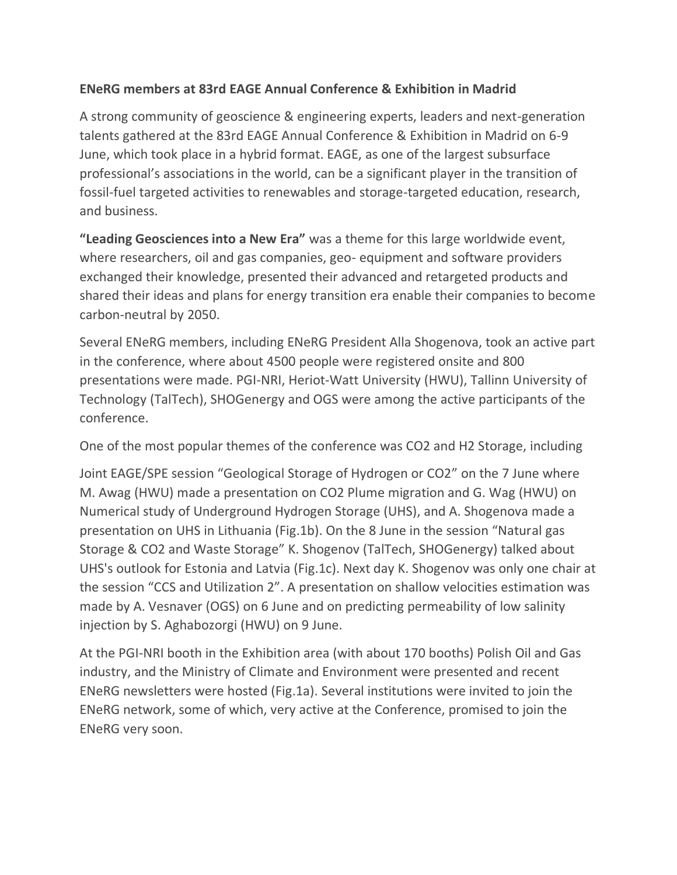## **ENeRG members at 83rd EAGE Annual Conference & Exhibition in Madrid**

A strong community of geoscience & engineering experts, leaders and next-generation talents gathered at the 83rd EAGE Annual Conference & Exhibition in Madrid on 6-9 June, which took place in a hybrid format. EAGE, as one of the largest subsurface professional's associations in the world, can be a significant player in the transition of fossil-fuel targeted activities to renewables and storage-targeted education, research, and business.

**"Leading Geosciences into a New Era"** was a theme for this large worldwide event, where researchers, oil and gas companies, geo- equipment and software providers exchanged their knowledge, presented their advanced and retargeted products and shared their ideas and plans for energy transition era enable their companies to become carbon-neutral by 2050.

Several ENeRG members, including ENeRG President Alla Shogenova, took an active part in the conference, where about 4500 people were registered onsite and 800 presentations were made. PGI-NRI, Heriot-Watt University (HWU), Tallinn University of Technology (TalTech), SHOGenergy and OGS were among the active participants of the conference.

One of the most popular themes of the conference was CO2 and H2 Storage, including

Joint EAGE/SPE session "Geological Storage of Hydrogen or CO2" on the 7 June where M. Awag (HWU) made a presentation on CO2 Plume migration and G. Wag (HWU) on Numerical study of Underground Hydrogen Storage (UHS), and A. Shogenova made a presentation on UHS in Lithuania (Fig.1b). On the 8 June in the session "Natural gas Storage & CO2 and Waste Storage" K. Shogenov (TalTech, SHOGenergy) talked about UHS's outlook for Estonia and Latvia (Fig.1c). Next day K. Shogenov was only one chair at the session "CCS and Utilization 2". A presentation on shallow velocities estimation was made by A. Vesnaver (OGS) on 6 June and on predicting permeability of low salinity injection by S. Aghabozorgi (HWU) on 9 June.

At the PGI-NRI booth in the Exhibition area (with about 170 booths) Polish Oil and Gas industry, and the Ministry of Climate and Environment were presented and recent ENeRG newsletters were hosted (Fig.1a). Several institutions were invited to join the ENeRG network, some of which, very active at the Conference, promised to join the ENeRG very soon.